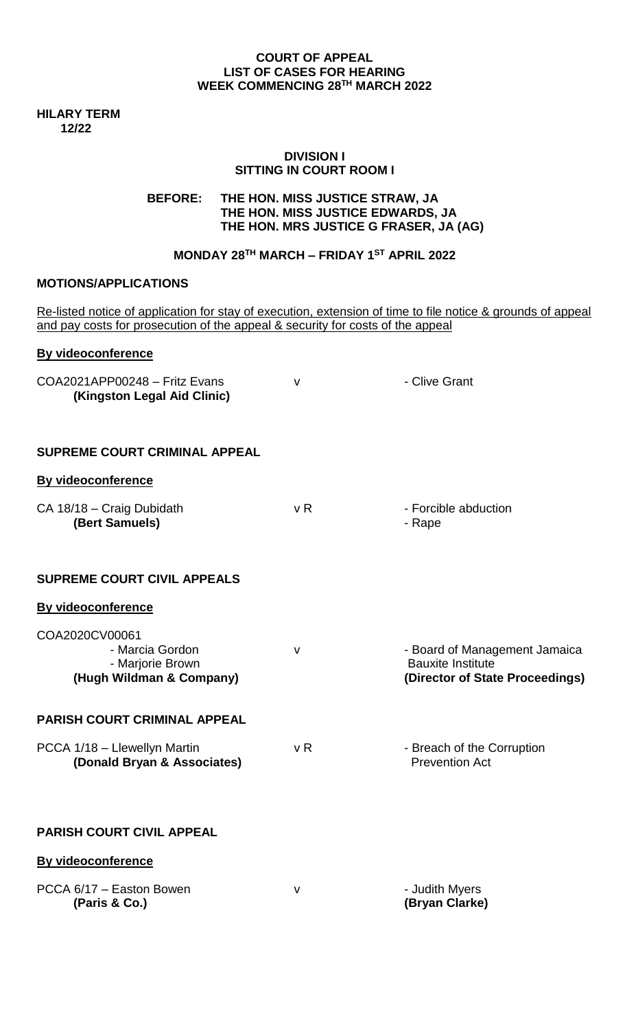#### **COURT OF APPEAL LIST OF CASES FOR HEARING WEEK COMMENCING 28TH MARCH 2022**

**HILARY TERM 12/22**

#### **DIVISION I SITTING IN COURT ROOM I**

# **BEFORE: THE HON. MISS JUSTICE STRAW, JA THE HON. MISS JUSTICE EDWARDS, JA THE HON. MRS JUSTICE G FRASER, JA (AG)**

## **MONDAY 28TH MARCH – FRIDAY 1 ST APRIL 2022**

# **MOTIONS/APPLICATIONS**

| Re-listed notice of application for stay of execution, extension of time to file notice & grounds of appeal<br>and pay costs for prosecution of the appeal & security for costs of the appeal |                |                                                                                              |
|-----------------------------------------------------------------------------------------------------------------------------------------------------------------------------------------------|----------------|----------------------------------------------------------------------------------------------|
| <b>By videoconference</b>                                                                                                                                                                     |                |                                                                                              |
| COA2021APP00248 - Fritz Evans<br>(Kingston Legal Aid Clinic)                                                                                                                                  | v              | - Clive Grant                                                                                |
| <b>SUPREME COURT CRIMINAL APPEAL</b>                                                                                                                                                          |                |                                                                                              |
| <b>By videoconference</b>                                                                                                                                                                     |                |                                                                                              |
| CA 18/18 - Craig Dubidath<br>(Bert Samuels)                                                                                                                                                   | v <sub>R</sub> | - Forcible abduction<br>- Rape                                                               |
| <b>SUPREME COURT CIVIL APPEALS</b>                                                                                                                                                            |                |                                                                                              |
| <b>By videoconference</b>                                                                                                                                                                     |                |                                                                                              |
| COA2020CV00061<br>- Marcia Gordon<br>- Marjorie Brown<br>(Hugh Wildman & Company)                                                                                                             | V              | - Board of Management Jamaica<br><b>Bauxite Institute</b><br>(Director of State Proceedings) |
| <b>PARISH COURT CRIMINAL APPEAL</b>                                                                                                                                                           |                |                                                                                              |
| PCCA 1/18 - Llewellyn Martin<br>(Donald Bryan & Associates)                                                                                                                                   | v R            | - Breach of the Corruption<br><b>Prevention Act</b>                                          |
| <b>PARISH COURT CIVIL APPEAL</b>                                                                                                                                                              |                |                                                                                              |
| By videoconference                                                                                                                                                                            |                |                                                                                              |
| PCCA 6/17 - Easton Bowen<br>(Paris & Co.)                                                                                                                                                     | $\mathsf{V}$   | - Judith Myers<br>(Bryan Clarke)                                                             |